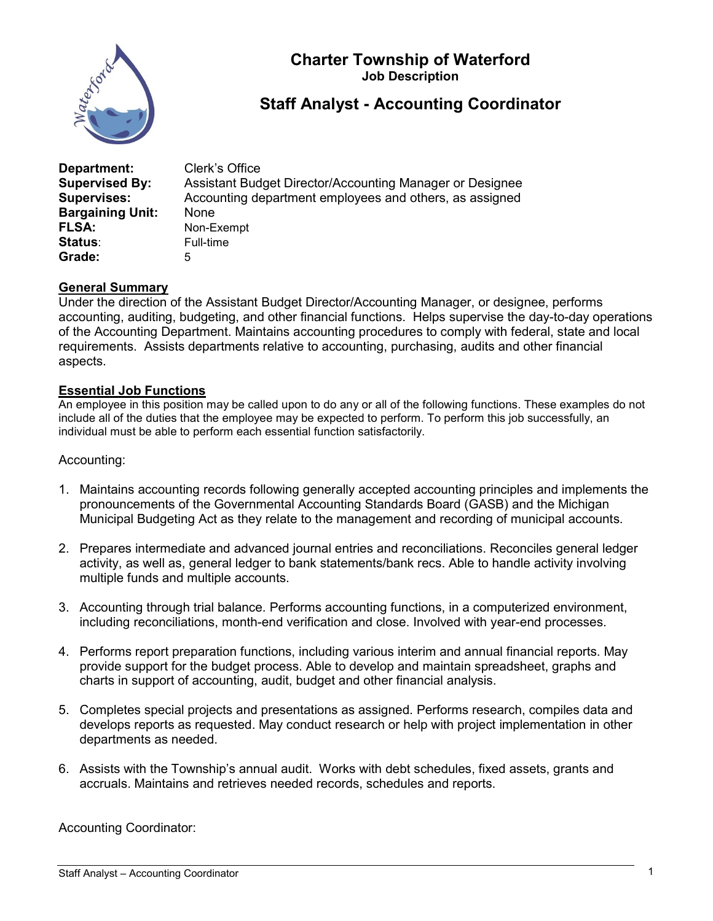

## Charter Township of Waterford Job Description

# Staff Analyst - Accounting Coordinator

| Department:<br><b>Supervised By:</b> | Clerk's Office<br>Assistant Budget Director/Accounting Manager or Designee |
|--------------------------------------|----------------------------------------------------------------------------|
| <b>Supervises:</b>                   | Accounting department employees and others, as assigned                    |
| <b>Bargaining Unit:</b>              | None                                                                       |
| <b>FLSA:</b>                         | Non-Exempt                                                                 |
| <b>Status:</b>                       | Full-time                                                                  |
| Grade:                               | 5                                                                          |

### General Summary

Under the direction of the Assistant Budget Director/Accounting Manager, or designee, performs accounting, auditing, budgeting, and other financial functions. Helps supervise the day-to-day operations of the Accounting Department. Maintains accounting procedures to comply with federal, state and local requirements. Assists departments relative to accounting, purchasing, audits and other financial aspects.

#### Essential Job Functions

An employee in this position may be called upon to do any or all of the following functions. These examples do not include all of the duties that the employee may be expected to perform. To perform this job successfully, an individual must be able to perform each essential function satisfactorily.

#### Accounting:

- 1. Maintains accounting records following generally accepted accounting principles and implements the pronouncements of the Governmental Accounting Standards Board (GASB) and the Michigan Municipal Budgeting Act as they relate to the management and recording of municipal accounts.
- 2. Prepares intermediate and advanced journal entries and reconciliations. Reconciles general ledger activity, as well as, general ledger to bank statements/bank recs. Able to handle activity involving multiple funds and multiple accounts.
- 3. Accounting through trial balance. Performs accounting functions, in a computerized environment, including reconciliations, month-end verification and close. Involved with year-end processes.
- 4. Performs report preparation functions, including various interim and annual financial reports. May provide support for the budget process. Able to develop and maintain spreadsheet, graphs and charts in support of accounting, audit, budget and other financial analysis.
- 5. Completes special projects and presentations as assigned. Performs research, compiles data and develops reports as requested. May conduct research or help with project implementation in other departments as needed.
- 6. Assists with the Township's annual audit. Works with debt schedules, fixed assets, grants and accruals. Maintains and retrieves needed records, schedules and reports.

Accounting Coordinator: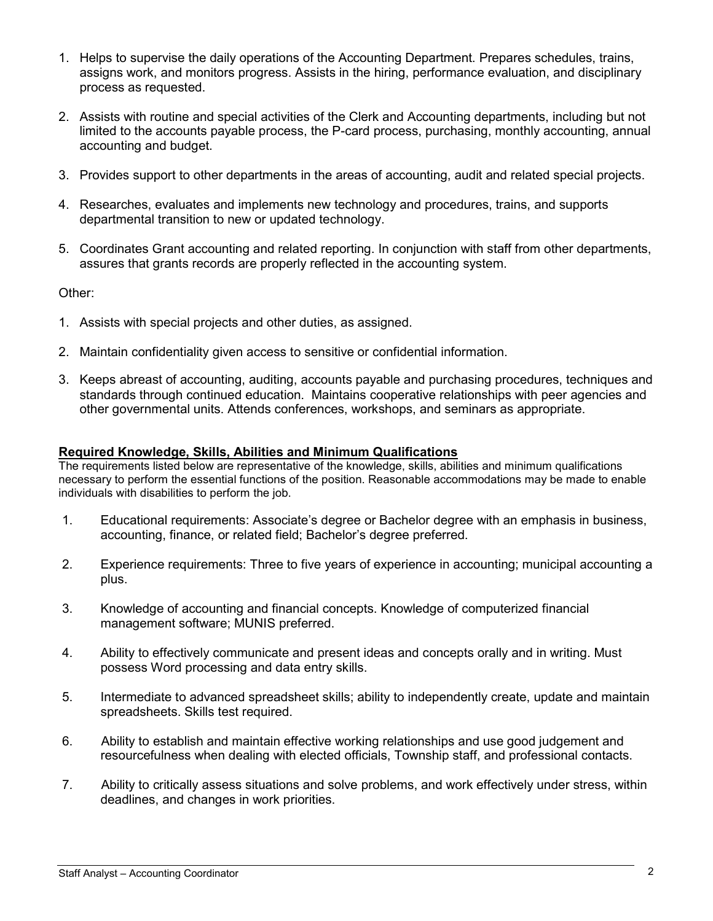- 1. Helps to supervise the daily operations of the Accounting Department. Prepares schedules, trains, assigns work, and monitors progress. Assists in the hiring, performance evaluation, and disciplinary process as requested.
- 2. Assists with routine and special activities of the Clerk and Accounting departments, including but not limited to the accounts payable process, the P-card process, purchasing, monthly accounting, annual accounting and budget.
- 3. Provides support to other departments in the areas of accounting, audit and related special projects.
- 4. Researches, evaluates and implements new technology and procedures, trains, and supports departmental transition to new or updated technology.
- 5. Coordinates Grant accounting and related reporting. In conjunction with staff from other departments, assures that grants records are properly reflected in the accounting system.

Other:

- 1. Assists with special projects and other duties, as assigned.
- 2. Maintain confidentiality given access to sensitive or confidential information.
- 3. Keeps abreast of accounting, auditing, accounts payable and purchasing procedures, techniques and standards through continued education. Maintains cooperative relationships with peer agencies and other governmental units. Attends conferences, workshops, and seminars as appropriate.

#### Required Knowledge, Skills, Abilities and Minimum Qualifications

The requirements listed below are representative of the knowledge, skills, abilities and minimum qualifications necessary to perform the essential functions of the position. Reasonable accommodations may be made to enable individuals with disabilities to perform the job.

- 1. Educational requirements: Associate's degree or Bachelor degree with an emphasis in business, accounting, finance, or related field; Bachelor's degree preferred.
- 2. Experience requirements: Three to five years of experience in accounting; municipal accounting a plus.
- 3. Knowledge of accounting and financial concepts. Knowledge of computerized financial management software; MUNIS preferred.
- 4. Ability to effectively communicate and present ideas and concepts orally and in writing. Must possess Word processing and data entry skills.
- 5. Intermediate to advanced spreadsheet skills; ability to independently create, update and maintain spreadsheets. Skills test required.
- 6. Ability to establish and maintain effective working relationships and use good judgement and resourcefulness when dealing with elected officials, Township staff, and professional contacts.
- 7. Ability to critically assess situations and solve problems, and work effectively under stress, within deadlines, and changes in work priorities.